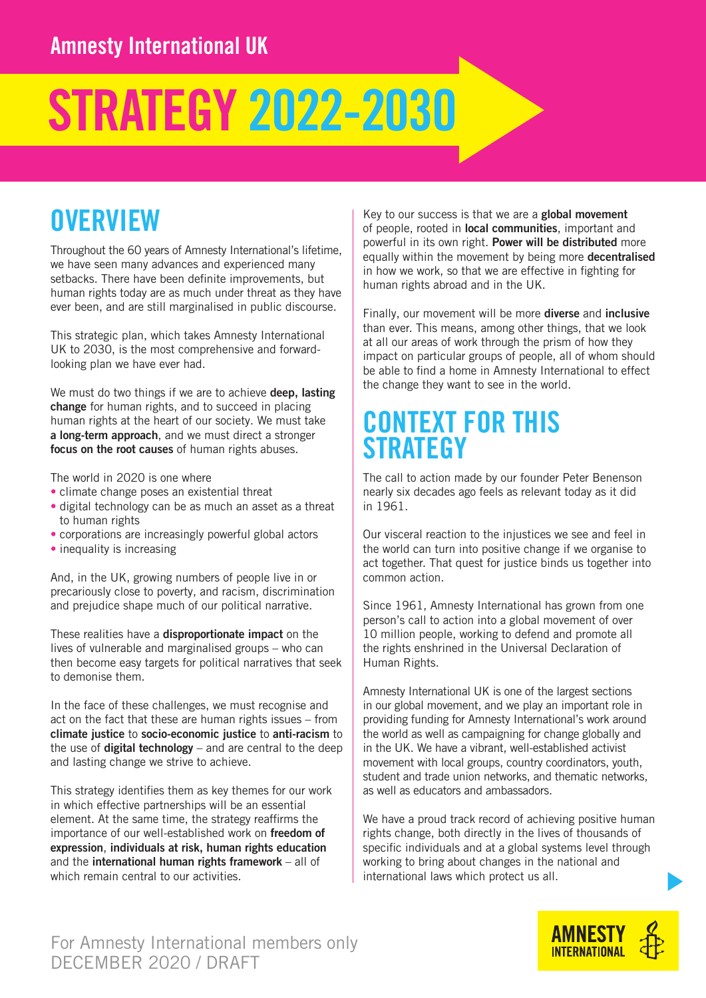# STRATEGY 2022-2030

## **OVERVIEW**

Throughout the 60 years of Amnesty International's lifetime, we have seen many advances and experienced many setbacks. There have been definite improvements, but human rights today are as much under threat as they have ever been, and are still marginalised in public discourse.

This strategic plan, which takes Amnesty International UK to 2030, is the most comprehensive and forwardlooking plan we have ever had.

We must do two things if we are to achieve **deep. lasting** change for human rights, and to succeed in placing human rights at the heart of our society. We must take a long-term approach, and we must direct a stronger focus on the root causes of human rights abuses.

The world in 2020 is one where

- climate change poses an existential threat
- digital technology can be as much an asset as a threat to human rights
- corporations are increasingly powerful global actors
- inequality is increasing

And, in the UK, growing numbers of people live in or precariously close to poverty, and racism, discrimination and prejudice shape much of our political narrative.

These realities have a disproportionate impact on the lives of vulnerable and marginalised groups – who can then become easy targets for political narratives that seek to demonise them.

In the face of these challenges, we must recognise and act on the fact that these are human rights issues – from climate justice to socio-economic justice to anti-racism to the use of **digital technology** – and are central to the deep and lasting change we strive to achieve.

This strategy identifies them as key themes for our work in which effective partnerships will be an essential element. At the same time, the strategy reaffirms the importance of our well-established work on freedom of expression, individuals at risk, human rights education and the international human rights framework – all of which remain central to our activities.

Key to our success is that we are a global movement of people, rooted in local communities, important and powerful in its own right. Power will be distributed more equally within the movement by being more decentralised in how we work, so that we are effective in fighting for human rights abroad and in the UK.

Finally, our movement will be more diverse and inclusive than ever. This means, among other things, that we look at all our areas of work through the prism of how they impact on particular groups of people, all of whom should be able to find a home in Amnesty International to effect the change they want to see in the world.

### CONTEXT FOR THIS **STRATEGY**

The call to action made by our founder Peter Benenson nearly six decades ago feels as relevant today as it did in 1961.

Our visceral reaction to the injustices we see and feel in the world can turn into positive change if we organise to act together. That quest for justice binds us together into common action.

Since 1961, Amnesty International has grown from one person's call to action into a global movement of over 10 million people, working to defend and promote all the rights enshrined in the Universal Declaration of Human Rights.

Amnesty International UK is one of the largest sections in our global movement, and we play an important role in providing funding for Amnesty International's work around the world as well as campaigning for change globally and in the UK. We have a vibrant, well-established activist movement with local groups, country coordinators, youth, student and trade union networks, and thematic networks, as well as educators and ambassadors.

We have a proud track record of achieving positive human rights change, both directly in the lives of thousands of specific individuals and at a global systems level through working to bring about changes in the national and international laws which protect us all.

#### For Amnesty International members only DECEMBER 2020 / DRAFT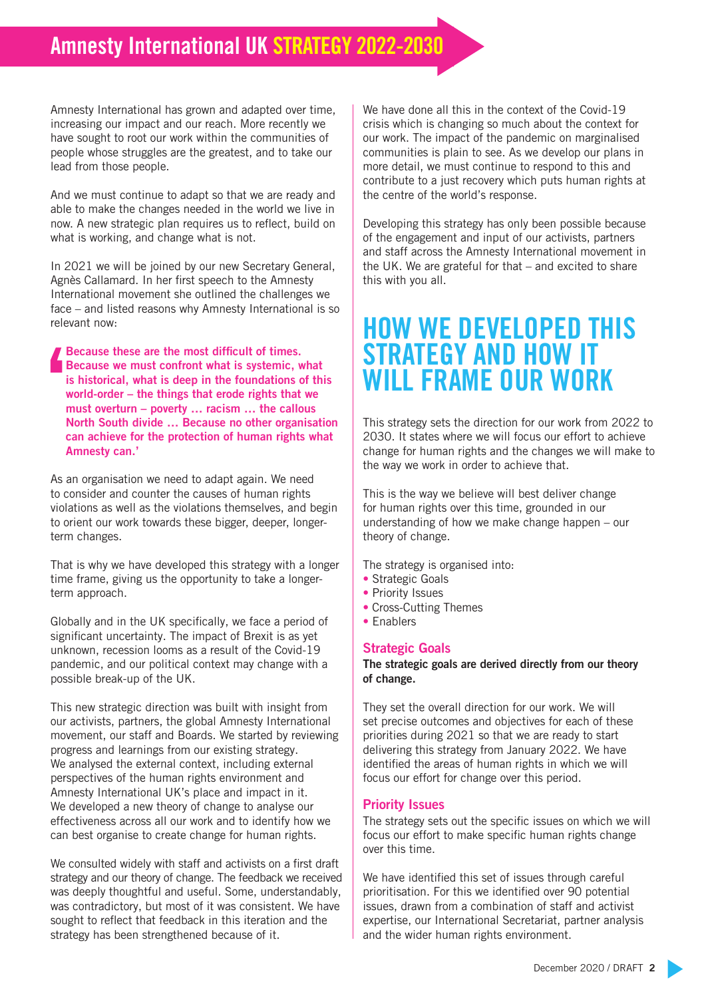### Amnesty International UK STRATEGY 2022-2030

Amnesty International has grown and adapted over time, increasing our impact and our reach. More recently we have sought to root our work within the communities of people whose struggles are the greatest, and to take our lead from those people.

And we must continue to adapt so that we are ready and able to make the changes needed in the world we live in now. A new strategic plan requires us to reflect, build on what is working, and change what is not.

In 2021 we will be joined by our new Secretary General, Agnès Callamard. In her first speech to the Amnesty International movement she outlined the challenges we face – and listed reasons why Amnesty International is so relevant now:

Because these are the most difficult of times. Because we must confront what is systemic, what is historical, what is deep in the foundations of this world-order – the things that erode rights that we must overturn – poverty … racism … the callous North South divide … Because no other organisation can achieve for the protection of human rights what Amnesty can.'

As an organisation we need to adapt again. We need to consider and counter the causes of human rights violations as well as the violations themselves, and begin to orient our work towards these bigger, deeper, longerterm changes.

That is why we have developed this strategy with a longer time frame, giving us the opportunity to take a longerterm approach.

Globally and in the UK specifically, we face a period of significant uncertainty. The impact of Brexit is as yet unknown, recession looms as a result of the Covid-19 pandemic, and our political context may change with a possible break-up of the UK.

This new strategic direction was built with insight from our activists, partners, the global Amnesty International movement, our staff and Boards. We started by reviewing progress and learnings from our existing strategy. We analysed the external context, including external perspectives of the human rights environment and Amnesty International UK's place and impact in it. We developed a new theory of change to analyse our effectiveness across all our work and to identify how we can best organise to create change for human rights.

We consulted widely with staff and activists on a first draft strategy and our theory of change. The feedback we received was deeply thoughtful and useful. Some, understandably, was contradictory, but most of it was consistent. We have sought to reflect that feedback in this iteration and the strategy has been strengthened because of it.

We have done all this in the context of the Covid-19 crisis which is changing so much about the context for our work. The impact of the pandemic on marginalised communities is plain to see. As we develop our plans in more detail, we must continue to respond to this and contribute to a just recovery which puts human rights at the centre of the world's response.

Developing this strategy has only been possible because of the engagement and input of our activists, partners and staff across the Amnesty International movement in the UK. We are grateful for that – and excited to share this with you all.

### HOW WE DEVELOPED THIS STRATEGY AND HOW IT WILL FRAME OUR WORK

This strategy sets the direction for our work from 2022 to 2030. It states where we will focus our effort to achieve change for human rights and the changes we will make to the way we work in order to achieve that.

This is the way we believe will best deliver change for human rights over this time, grounded in our understanding of how we make change happen – our theory of change.

The strategy is organised into:

- Strategic Goals
- Priority Issues
- Cross-Cutting Themes
- Enablers

#### Strategic Goals

The strategic goals are derived directly from our theory of change.

They set the overall direction for our work. We will set precise outcomes and objectives for each of these priorities during 2021 so that we are ready to start delivering this strategy from January 2022. We have identified the areas of human rights in which we will focus our effort for change over this period.

#### Priority Issues

The strategy sets out the specific issues on which we will focus our effort to make specific human rights change over this time.

We have identified this set of issues through careful prioritisation. For this we identified over 90 potential issues, drawn from a combination of staff and activist expertise, our International Secretariat, partner analysis and the wider human rights environment.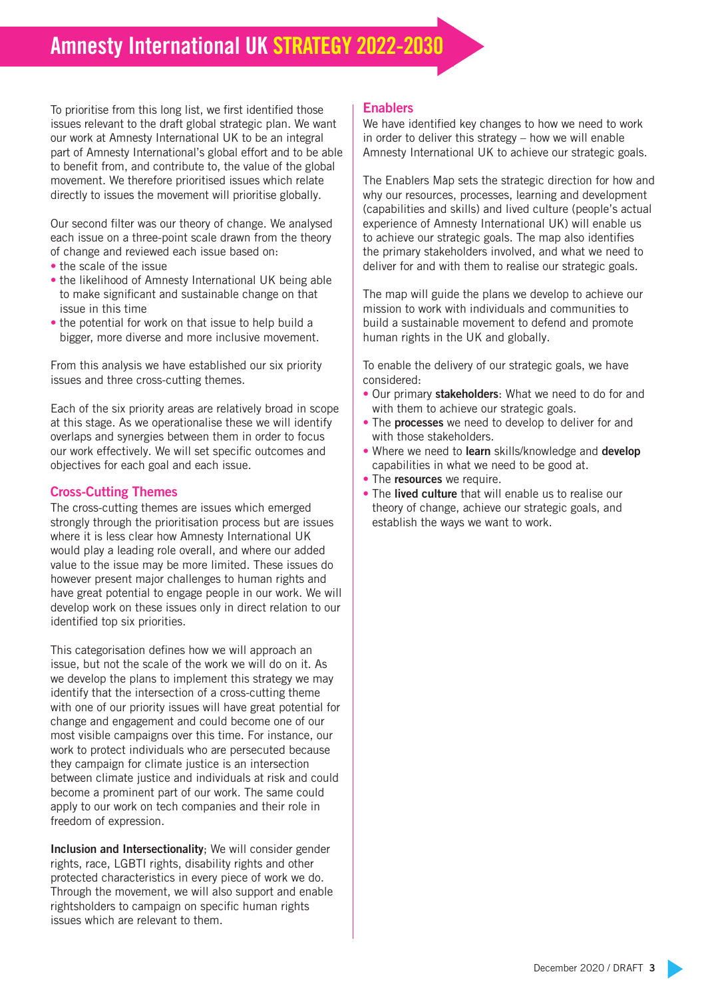### Amnesty International UK STRATEGY 2022-203

To prioritise from this long list, we first identified those issues relevant to the draft global strategic plan. We want our work at Amnesty International UK to be an integral part of Amnesty International's global effort and to be able to benefit from, and contribute to, the value of the global movement. We therefore prioritised issues which relate directly to issues the movement will prioritise globally.

Our second filter was our theory of change. We analysed each issue on a three-point scale drawn from the theory of change and reviewed each issue based on:

- the scale of the issue
- the likelihood of Amnesty International UK being able to make significant and sustainable change on that issue in this time
- the potential for work on that issue to help build a bigger, more diverse and more inclusive movement.

From this analysis we have established our six priority issues and three cross-cutting themes.

Each of the six priority areas are relatively broad in scope at this stage. As we operationalise these we will identify overlaps and synergies between them in order to focus our work effectively. We will set specific outcomes and objectives for each goal and each issue.

#### Cross-Cutting Themes

The cross-cutting themes are issues which emerged strongly through the prioritisation process but are issues where it is less clear how Amnesty International UK would play a leading role overall, and where our added value to the issue may be more limited. These issues do however present major challenges to human rights and have great potential to engage people in our work. We will develop work on these issues only in direct relation to our identified top six priorities.

This categorisation defines how we will approach an issue, but not the scale of the work we will do on it. As we develop the plans to implement this strategy we may identify that the intersection of a cross-cutting theme with one of our priority issues will have great potential for change and engagement and could become one of our most visible campaigns over this time. For instance, our work to protect individuals who are persecuted because they campaign for climate justice is an intersection between climate justice and individuals at risk and could become a prominent part of our work. The same could apply to our work on tech companies and their role in freedom of expression.

Inclusion and Intersectionality; We will consider gender rights, race, LGBTI rights, disability rights and other protected characteristics in every piece of work we do. Through the movement, we will also support and enable rightsholders to campaign on specific human rights issues which are relevant to them.

#### Enablers

We have identified key changes to how we need to work in order to deliver this strategy – how we will enable Amnesty International UK to achieve our strategic goals.

The Enablers Map sets the strategic direction for how and why our resources, processes, learning and development (capabilities and skills) and lived culture (people's actual experience of Amnesty International UK) will enable us to achieve our strategic goals. The map also identifies the primary stakeholders involved, and what we need to deliver for and with them to realise our strategic goals.

The map will guide the plans we develop to achieve our mission to work with individuals and communities to build a sustainable movement to defend and promote human rights in the UK and globally.

To enable the delivery of our strategic goals, we have considered:

- Our primary stakeholders: What we need to do for and with them to achieve our strategic goals.
- The **processes** we need to develop to deliver for and with those stakeholders.
- Where we need to learn skills/knowledge and develop capabilities in what we need to be good at.
- The resources we require.
- The lived culture that will enable us to realise our theory of change, achieve our strategic goals, and establish the ways we want to work.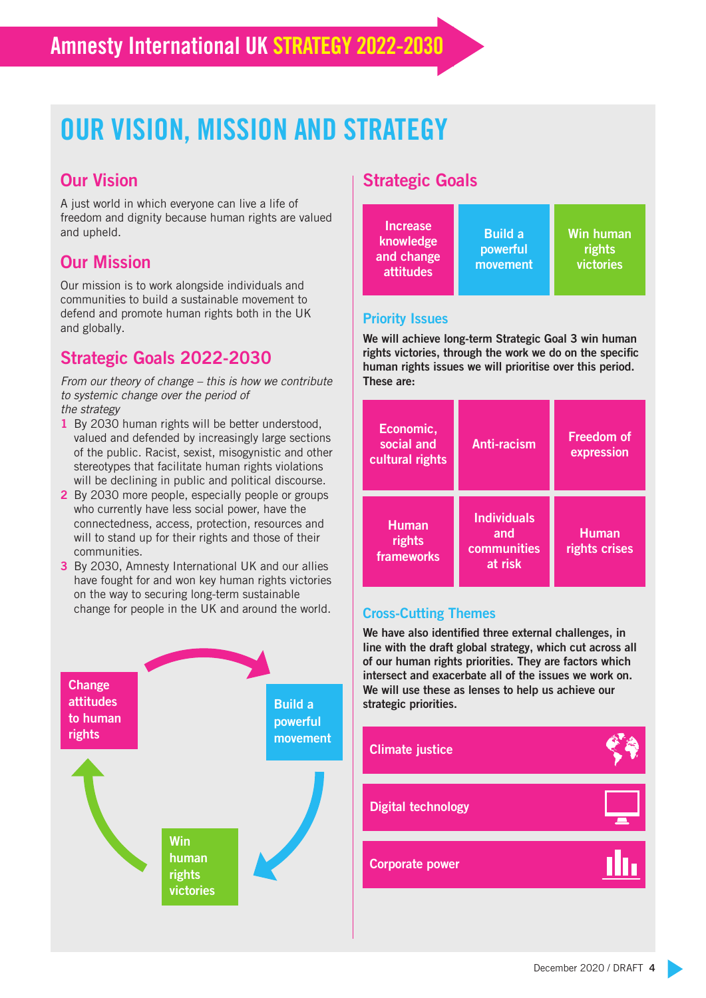## OUR VISION, MISSION AND STRATEGY

#### Our Vision

A just world in which everyone can live a life of freedom and dignity because human rights are valued and upheld.

#### Our Mission

Our mission is to work alongside individuals and communities to build a sustainable movement to defend and promote human rights both in the UK and globally.

#### Strategic Goals 2022-2030

*From our theory of change – this is how we contribute to systemic change over the period of the strategy* 

- 1 By 2030 human rights will be better understood, valued and defended by increasingly large sections of the public. Racist, sexist, misogynistic and other stereotypes that facilitate human rights violations will be declining in public and political discourse.
- 2 By 2030 more people, especially people or groups who currently have less social power, have the connectedness, access, protection, resources and will to stand up for their rights and those of their communities.
- 3 By 2030, Amnesty International UK and our allies have fought for and won key human rights victories on the way to securing long-term sustainable change for people in the UK and around the world.



#### Strategic Goals



#### Priority Issues

We will achieve long-term Strategic Goal 3 win human rights victories, through the work we do on the specific human rights issues we will prioritise over this period. These are:

| Economic,<br>social and<br>cultural rights | Anti-racism                                         | <b>Freedom of</b><br>expression |  |
|--------------------------------------------|-----------------------------------------------------|---------------------------------|--|
| <b>Human</b><br>rights<br>frameworks       | <b>Individuals</b><br>and<br>communities<br>at risk |                                 |  |

#### Cross-Cutting Themes

We have also identified three external challenges, in line with the draft global strategy, which cut across all of our human rights priorities. They are factors which intersect and exacerbate all of the issues we work on. We will use these as lenses to help us achieve our strategic priorities.

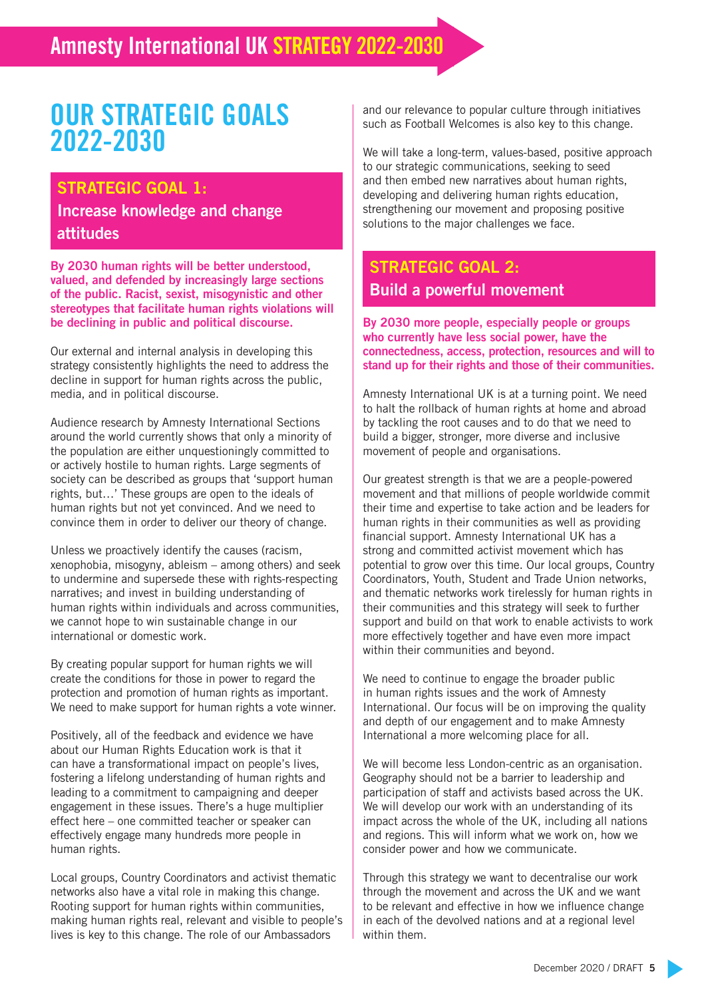## OUR STRATEGIC GOALS 2022-2030

#### STRATEGIC GOAL 1:

Increase knowledge and change attitudes

By 2030 human rights will be better understood, valued, and defended by increasingly large sections of the public. Racist, sexist, misogynistic and other stereotypes that facilitate human rights violations will be declining in public and political discourse.

Our external and internal analysis in developing this strategy consistently highlights the need to address the decline in support for human rights across the public, media, and in political discourse.

Audience research by Amnesty International Sections around the world currently shows that only a minority of the population are either unquestioningly committed to or actively hostile to human rights. Large segments of society can be described as groups that 'support human rights, but…' These groups are open to the ideals of human rights but not yet convinced. And we need to convince them in order to deliver our theory of change.

Unless we proactively identify the causes (racism, xenophobia, misogyny, ableism – among others) and seek to undermine and supersede these with rights-respecting narratives; and invest in building understanding of human rights within individuals and across communities, we cannot hope to win sustainable change in our international or domestic work.

By creating popular support for human rights we will create the conditions for those in power to regard the protection and promotion of human rights as important. We need to make support for human rights a vote winner.

Positively, all of the feedback and evidence we have about our Human Rights Education work is that it can have a transformational impact on people's lives, fostering a lifelong understanding of human rights and leading to a commitment to campaigning and deeper engagement in these issues. There's a huge multiplier effect here – one committed teacher or speaker can effectively engage many hundreds more people in human rights.

Local groups, Country Coordinators and activist thematic networks also have a vital role in making this change. Rooting support for human rights within communities, making human rights real, relevant and visible to people's lives is key to this change. The role of our Ambassadors

and our relevance to popular culture through initiatives such as Football Welcomes is also key to this change.

We will take a long-term, values-based, positive approach to our strategic communications, seeking to seed and then embed new narratives about human rights, developing and delivering human rights education, strengthening our movement and proposing positive solutions to the major challenges we face.

#### STRATEGIC GOAL 2: Build a powerful movement

By 2030 more people, especially people or groups who currently have less social power, have the connectedness, access, protection, resources and will to stand up for their rights and those of their communities.

Amnesty International UK is at a turning point. We need to halt the rollback of human rights at home and abroad by tackling the root causes and to do that we need to build a bigger, stronger, more diverse and inclusive movement of people and organisations.

Our greatest strength is that we are a people-powered movement and that millions of people worldwide commit their time and expertise to take action and be leaders for human rights in their communities as well as providing financial support. Amnesty International UK has a strong and committed activist movement which has potential to grow over this time. Our local groups, Country Coordinators, Youth, Student and Trade Union networks, and thematic networks work tirelessly for human rights in their communities and this strategy will seek to further support and build on that work to enable activists to work more effectively together and have even more impact within their communities and beyond.

We need to continue to engage the broader public in human rights issues and the work of Amnesty International. Our focus will be on improving the quality and depth of our engagement and to make Amnesty International a more welcoming place for all.

We will become less London-centric as an organisation. Geography should not be a barrier to leadership and participation of staff and activists based across the UK. We will develop our work with an understanding of its impact across the whole of the UK, including all nations and regions. This will inform what we work on, how we consider power and how we communicate.

Through this strategy we want to decentralise our work through the movement and across the UK and we want to be relevant and effective in how we influence change in each of the devolved nations and at a regional level within them.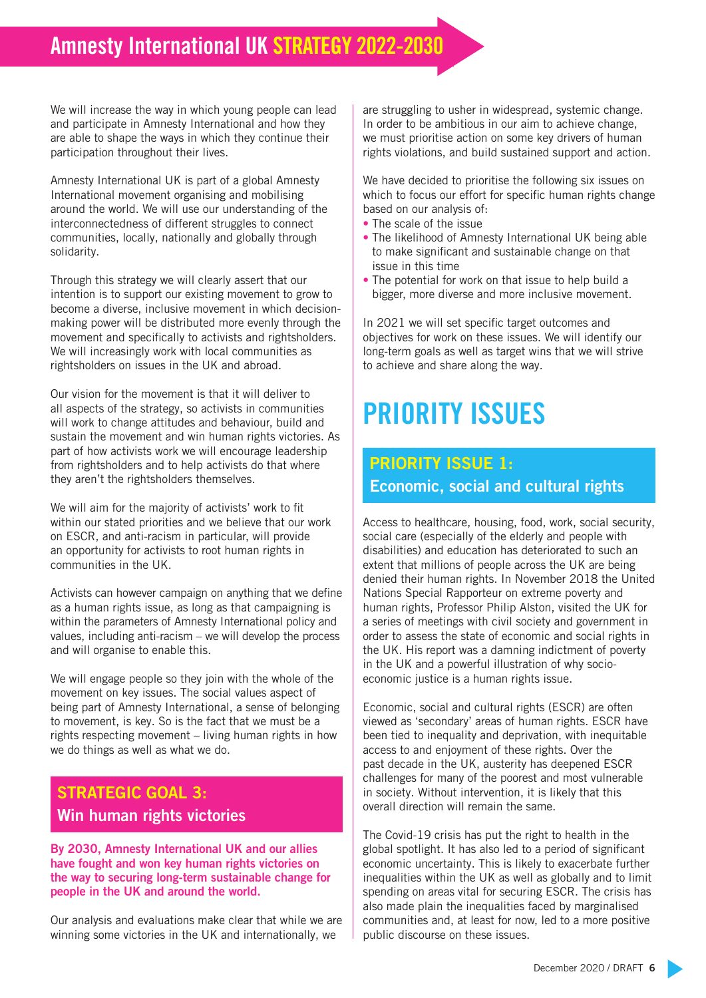### Amnesty International UK STRATEGY 2022-2030

We will increase the way in which young people can lead and participate in Amnesty International and how they are able to shape the ways in which they continue their participation throughout their lives.

Amnesty International UK is part of a global Amnesty International movement organising and mobilising around the world. We will use our understanding of the interconnectedness of different struggles to connect communities, locally, nationally and globally through solidarity.

Through this strategy we will clearly assert that our intention is to support our existing movement to grow to become a diverse, inclusive movement in which decisionmaking power will be distributed more evenly through the movement and specifically to activists and rightsholders. We will increasingly work with local communities as rightsholders on issues in the UK and abroad.

Our vision for the movement is that it will deliver to all aspects of the strategy, so activists in communities will work to change attitudes and behaviour, build and sustain the movement and win human rights victories. As part of how activists work we will encourage leadership from rightsholders and to help activists do that where they aren't the rightsholders themselves.

We will aim for the majority of activists' work to fit within our stated priorities and we believe that our work on ESCR, and anti-racism in particular, will provide an opportunity for activists to root human rights in communities in the UK.

Activists can however campaign on anything that we define as a human rights issue, as long as that campaigning is within the parameters of Amnesty International policy and values, including anti-racism – we will develop the process and will organise to enable this.

We will engage people so they join with the whole of the movement on key issues. The social values aspect of being part of Amnesty International, a sense of belonging to movement, is key. So is the fact that we must be a rights respecting movement – living human rights in how we do things as well as what we do.

#### STRATEGIC GOAL 3: Win human rights victories

By 2030, Amnesty International UK and our allies have fought and won key human rights victories on the way to securing long-term sustainable change for people in the UK and around the world.

Our analysis and evaluations make clear that while we are winning some victories in the UK and internationally, we

are struggling to usher in widespread, systemic change. In order to be ambitious in our aim to achieve change, we must prioritise action on some key drivers of human rights violations, and build sustained support and action.

We have decided to prioritise the following six issues on which to focus our effort for specific human rights change based on our analysis of:

- The scale of the issue
- The likelihood of Amnesty International UK being able to make significant and sustainable change on that issue in this time
- The potential for work on that issue to help build a bigger, more diverse and more inclusive movement.

In 2021 we will set specific target outcomes and objectives for work on these issues. We will identify our long-term goals as well as target wins that we will strive to achieve and share along the way.

## PRIORITY ISSUES

#### PRIORITY ISSUE 1: Economic, social and cultural rights

Access to healthcare, housing, food, work, social security, social care (especially of the elderly and people with disabilities) and education has deteriorated to such an extent that millions of people across the UK are being denied their human rights. In November 2018 the United Nations Special Rapporteur on extreme poverty and human rights, Professor Philip Alston, visited the UK for a series of meetings with civil society and government in order to assess the state of economic and social rights in the UK. His report was a damning indictment of poverty in the UK and a powerful illustration of why socioeconomic justice is a human rights issue.

Economic, social and cultural rights (ESCR) are often viewed as 'secondary' areas of human rights. ESCR have been tied to inequality and deprivation, with inequitable access to and enjoyment of these rights. Over the past decade in the UK, austerity has deepened ESCR challenges for many of the poorest and most vulnerable in society. Without intervention, it is likely that this overall direction will remain the same.

The Covid-19 crisis has put the right to health in the global spotlight. It has also led to a period of significant economic uncertainty. This is likely to exacerbate further inequalities within the UK as well as globally and to limit spending on areas vital for securing ESCR. The crisis has also made plain the inequalities faced by marginalised communities and, at least for now, led to a more positive public discourse on these issues.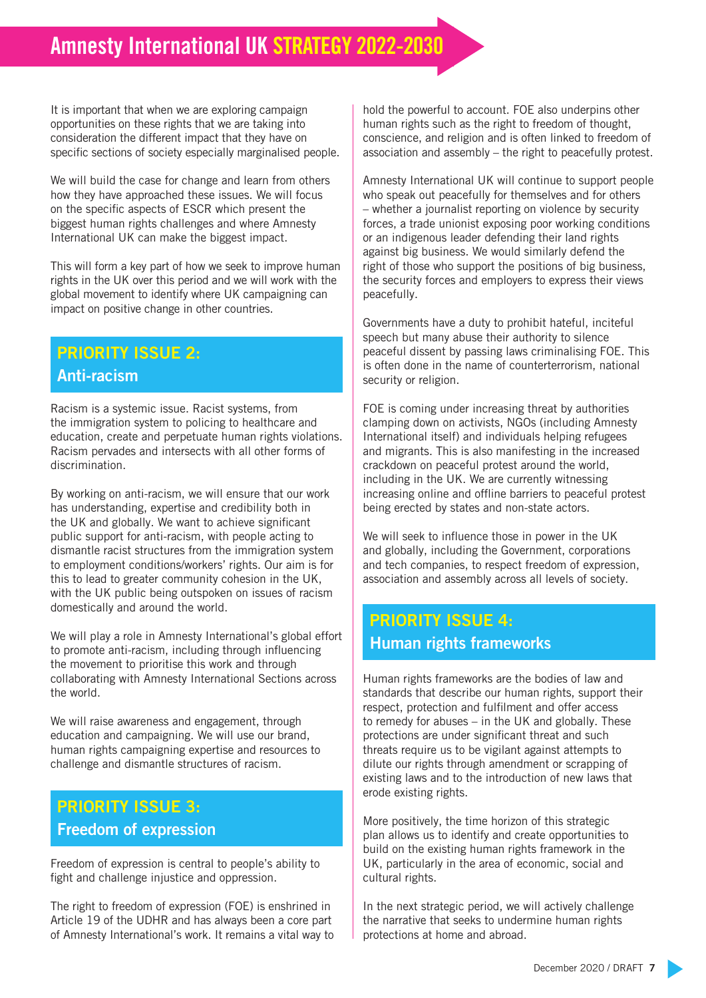It is important that when we are exploring campaign opportunities on these rights that we are taking into consideration the different impact that they have on specific sections of society especially marginalised people.

We will build the case for change and learn from others how they have approached these issues. We will focus on the specific aspects of ESCR which present the biggest human rights challenges and where Amnesty International UK can make the biggest impact.

This will form a key part of how we seek to improve human rights in the UK over this period and we will work with the global movement to identify where UK campaigning can impact on positive change in other countries.

#### PRIORITY ISSUE 2: Anti-racism

Racism is a systemic issue. Racist systems, from the immigration system to policing to healthcare and education, create and perpetuate human rights violations. Racism pervades and intersects with all other forms of discrimination.

By working on anti-racism, we will ensure that our work has understanding, expertise and credibility both in the UK and globally. We want to achieve significant public support for anti-racism, with people acting to dismantle racist structures from the immigration system to employment conditions/workers' rights. Our aim is for this to lead to greater community cohesion in the UK, with the UK public being outspoken on issues of racism domestically and around the world.

We will play a role in Amnesty International's global effort to promote anti-racism, including through influencing the movement to prioritise this work and through collaborating with Amnesty International Sections across the world.

We will raise awareness and engagement, through education and campaigning. We will use our brand, human rights campaigning expertise and resources to challenge and dismantle structures of racism.

### PRIORITY ISSUE 3: Freedom of expression

Freedom of expression is central to people's ability to fight and challenge injustice and oppression.

The right to freedom of expression (FOE) is enshrined in Article 19 of the UDHR and has always been a core part of Amnesty International's work. It remains a vital way to

hold the powerful to account. FOE also underpins other human rights such as the right to freedom of thought, conscience, and religion and is often linked to freedom of association and assembly – the right to peacefully protest.

Amnesty International UK will continue to support people who speak out peacefully for themselves and for others – whether a journalist reporting on violence by security forces, a trade unionist exposing poor working conditions or an indigenous leader defending their land rights against big business. We would similarly defend the right of those who support the positions of big business, the security forces and employers to express their views peacefully.

Governments have a duty to prohibit hateful, inciteful speech but many abuse their authority to silence peaceful dissent by passing laws criminalising FOE. This is often done in the name of counterterrorism, national security or religion.

FOE is coming under increasing threat by authorities clamping down on activists, NGOs (including Amnesty International itself) and individuals helping refugees and migrants. This is also manifesting in the increased crackdown on peaceful protest around the world, including in the UK. We are currently witnessing increasing online and offline barriers to peaceful protest being erected by states and non-state actors.

We will seek to influence those in power in the UK and globally, including the Government, corporations and tech companies, to respect freedom of expression, association and assembly across all levels of society.

#### PRIORITY ISSUE 4: Human rights frameworks

Human rights frameworks are the bodies of law and standards that describe our human rights, support their respect, protection and fulfilment and offer access to remedy for abuses – in the UK and globally. These protections are under significant threat and such threats require us to be vigilant against attempts to dilute our rights through amendment or scrapping of existing laws and to the introduction of new laws that erode existing rights.

More positively, the time horizon of this strategic plan allows us to identify and create opportunities to build on the existing human rights framework in the UK, particularly in the area of economic, social and cultural rights.

In the next strategic period, we will actively challenge the narrative that seeks to undermine human rights protections at home and abroad.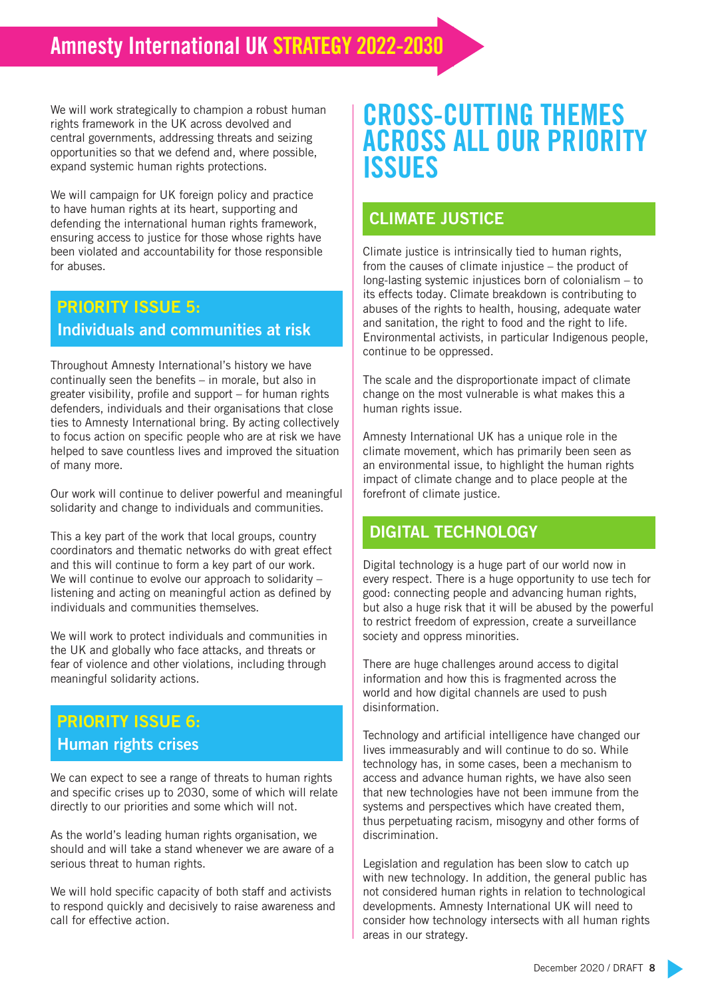We will work strategically to champion a robust human rights framework in the UK across devolved and central governments, addressing threats and seizing opportunities so that we defend and, where possible, expand systemic human rights protections.

We will campaign for UK foreign policy and practice to have human rights at its heart, supporting and defending the international human rights framework, ensuring access to justice for those whose rights have been violated and accountability for those responsible for abuses.

#### PRIORITY ISSUE 5: Individuals and communities at risk

Throughout Amnesty International's history we have continually seen the benefits – in morale, but also in greater visibility, profile and support – for human rights defenders, individuals and their organisations that close ties to Amnesty International bring. By acting collectively to focus action on specific people who are at risk we have helped to save countless lives and improved the situation of many more.

Our work will continue to deliver powerful and meaningful solidarity and change to individuals and communities.

This a key part of the work that local groups, country coordinators and thematic networks do with great effect and this will continue to form a key part of our work. We will continue to evolve our approach to solidarity – listening and acting on meaningful action as defined by individuals and communities themselves.

We will work to protect individuals and communities in the UK and globally who face attacks, and threats or fear of violence and other violations, including through meaningful solidarity actions.

#### PRIORITY ISSUE 6: Human rights crises

We can expect to see a range of threats to human rights and specific crises up to 2030, some of which will relate directly to our priorities and some which will not.

As the world's leading human rights organisation, we should and will take a stand whenever we are aware of a serious threat to human rights.

We will hold specific capacity of both staff and activists to respond quickly and decisively to raise awareness and call for effective action.

### CROSS-CUTTING THEMES ACROSS ALL OUR PRIORITY **ISSUES**

#### CLIMATE JUSTICE

Climate justice is intrinsically tied to human rights, from the causes of climate injustice – the product of long-lasting systemic injustices born of colonialism – to its effects today. Climate breakdown is contributing to abuses of the rights to health, housing, adequate water and sanitation, the right to food and the right to life. Environmental activists, in particular Indigenous people, continue to be oppressed.

The scale and the disproportionate impact of climate change on the most vulnerable is what makes this a human rights issue.

Amnesty International UK has a unique role in the climate movement, which has primarily been seen as an environmental issue, to highlight the human rights impact of climate change and to place people at the forefront of climate justice.

#### DIGITAL TECHNOLOGY

Digital technology is a huge part of our world now in every respect. There is a huge opportunity to use tech for good: connecting people and advancing human rights, but also a huge risk that it will be abused by the powerful to restrict freedom of expression, create a surveillance society and oppress minorities.

There are huge challenges around access to digital information and how this is fragmented across the world and how digital channels are used to push disinformation.

Technology and artificial intelligence have changed our lives immeasurably and will continue to do so. While technology has, in some cases, been a mechanism to access and advance human rights, we have also seen that new technologies have not been immune from the systems and perspectives which have created them, thus perpetuating racism, misogyny and other forms of discrimination.

Legislation and regulation has been slow to catch up with new technology. In addition, the general public has not considered human rights in relation to technological developments. Amnesty International UK will need to consider how technology intersects with all human rights areas in our strategy.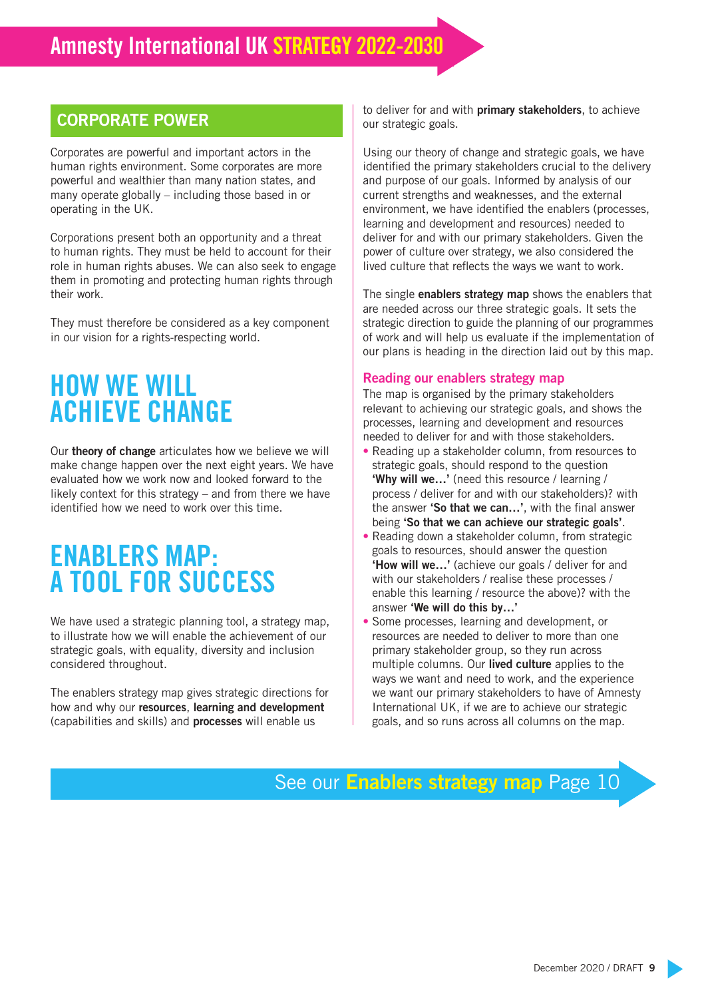#### CORPORATE POWER

Corporates are powerful and important actors in the human rights environment. Some corporates are more powerful and wealthier than many nation states, and many operate globally – including those based in or operating in the UK.

Corporations present both an opportunity and a threat to human rights. They must be held to account for their role in human rights abuses. We can also seek to engage them in promoting and protecting human rights through their work.

They must therefore be considered as a key component in our vision for a rights-respecting world.

## HOW WE WILL ACHIEVE CHANGE

Our theory of change articulates how we believe we will make change happen over the next eight years. We have evaluated how we work now and looked forward to the likely context for this strategy – and from there we have identified how we need to work over this time.

## ENABLERS MAP: A TOOL FOR SUCCESS

We have used a strategic planning tool, a strategy map, to illustrate how we will enable the achievement of our strategic goals, with equality, diversity and inclusion considered throughout.

The enablers strategy map gives strategic directions for how and why our resources, learning and development (capabilities and skills) and processes will enable us

to deliver for and with primary stakeholders, to achieve our strategic goals.

Using our theory of change and strategic goals, we have identified the primary stakeholders crucial to the delivery and purpose of our goals. Informed by analysis of our current strengths and weaknesses, and the external environment, we have identified the enablers (processes, learning and development and resources) needed to deliver for and with our primary stakeholders. Given the power of culture over strategy, we also considered the lived culture that reflects the ways we want to work.

The single **enablers strategy map** shows the enablers that are needed across our three strategic goals. It sets the strategic direction to guide the planning of our programmes of work and will help us evaluate if the implementation of our plans is heading in the direction laid out by this map.

#### Reading our enablers strategy map

The map is organised by the primary stakeholders relevant to achieving our strategic goals, and shows the processes, learning and development and resources needed to deliver for and with those stakeholders.

- Reading up a stakeholder column, from resources to strategic goals, should respond to the question 'Why will we…' (need this resource / learning / process / deliver for and with our stakeholders)? with the answer 'So that we can...', with the final answer being 'So that we can achieve our strategic goals'.
- Reading down a stakeholder column, from strategic goals to resources, should answer the question 'How will we…' (achieve our goals / deliver for and with our stakeholders / realise these processes / enable this learning / resource the above)? with the answer 'We will do this by…'
- Some processes, learning and development, or resources are needed to deliver to more than one primary stakeholder group, so they run across multiple columns. Our lived culture applies to the ways we want and need to work, and the experience we want our primary stakeholders to have of Amnesty International UK, if we are to achieve our strategic goals, and so runs across all columns on the map.

### See our **Enablers strategy map** Page 10